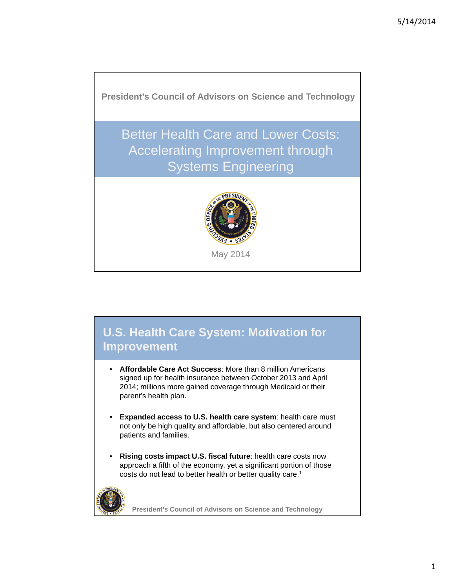

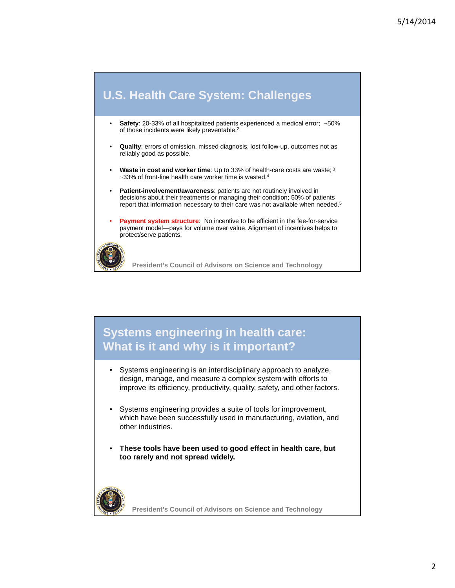

#### **Systems engineering in health care: What is it and why is it important?**

- Systems engineering is an interdisciplinary approach to analyze, design, manage, and measure a complex system with efforts to improve its efficiency, productivity, quality, safety, and other factors.
- Systems engineering provides a suite of tools for improvement, which have been successfully used in manufacturing, aviation, and other industries.
- **These tools have been used to good effect in health care, but too rarely and not spread widely.**

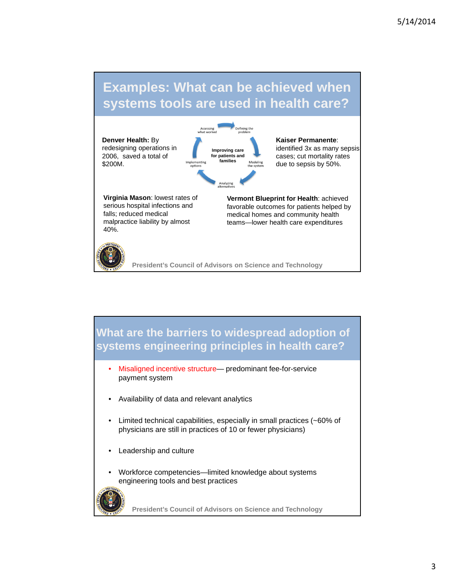# **Examples: What can be achieved when systems tools are used in health care?**



**What are the barriers to widespread adoption of systems engineering principles in health care?**

- Misaligned incentive structure— predominant fee-for-service payment system
- Availability of data and relevant analytics
- Limited technical capabilities, especially in small practices (~60% of physicians are still in practices of 10 or fewer physicians)
- Leadership and culture
- Workforce competencies—limited knowledge about systems engineering tools and best practices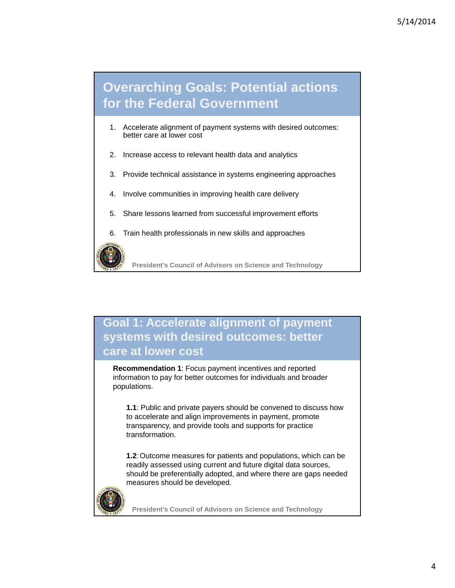# **Overarching Goals: Potential actions for the Federal Government**

- 1. Accelerate alignment of payment systems with desired outcomes: better care at lower cost
- 2. Increase access to relevant health data and analytics
- 3. Provide technical assistance in systems engineering approaches
- 4. Involve communities in improving health care delivery
- 5. Share lessons learned from successful improvement efforts
- 6. Train health professionals in new skills and approaches



**President's Council of Advisors on Science and Technology**

#### **Goal 1: Accelerate alignment of payment systems with desired outcomes: better care at lower cost**

**Recommendation 1**: Focus payment incentives and reported information to pay for better outcomes for individuals and broader populations.

**1.1**: Public and private payers should be convened to discuss how to accelerate and align improvements in payment, promote transparency, and provide tools and supports for practice transformation.

**1.2**:Outcome measures for patients and populations, which can be readily assessed using current and future digital data sources, should be preferentially adopted, and where there are gaps needed measures should be developed.

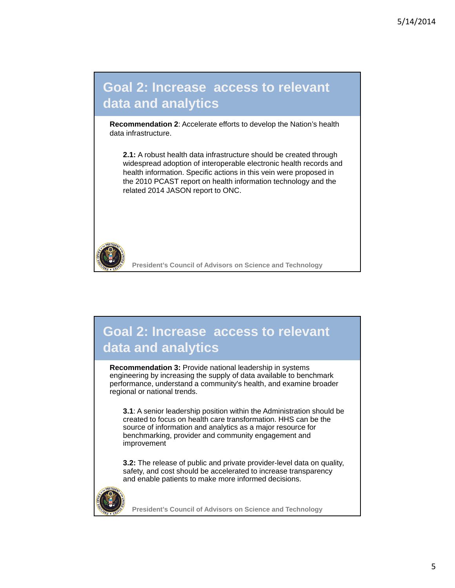# **Goal 2: Increase access to relevant data and analytics**

**Recommendation 2**: Accelerate efforts to develop the Nation's health data infrastructure.

**2.1:** A robust health data infrastructure should be created through widespread adoption of interoperable electronic health records and health information. Specific actions in this vein were proposed in the 2010 PCAST report on health information technology and the related 2014 JASON report to ONC.



**President's Council of Advisors on Science and Technology**

# **Goal 2: Increase access to relevant data and analytics**

**Recommendation 3:** Provide national leadership in systems engineering by increasing the supply of data available to benchmark performance, understand a community's health, and examine broader regional or national trends.

**3.1**: A senior leadership position within the Administration should be created to focus on health care transformation. HHS can be the source of information and analytics as a major resource for benchmarking, provider and community engagement and improvement

**3.2:** The release of public and private provider-level data on quality, safety, and cost should be accelerated to increase transparency and enable patients to make more informed decisions.

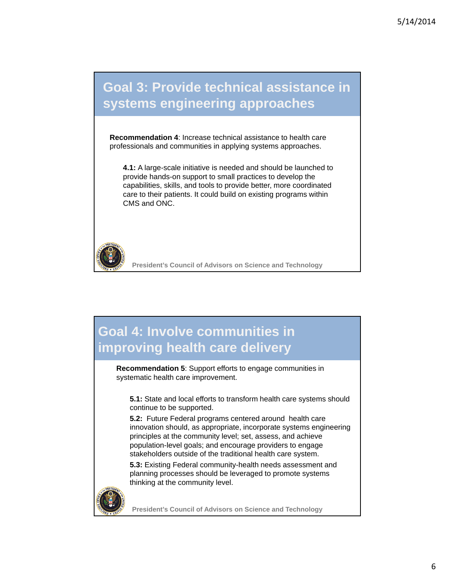# **Goal 3: Provide technical assistance in systems engineering approaches**

**Recommendation 4**: Increase technical assistance to health care professionals and communities in applying systems approaches.

**4.1:** A large-scale initiative is needed and should be launched to provide hands-on support to small practices to develop the capabilities, skills, and tools to provide better, more coordinated care to their patients. It could build on existing programs within CMS and ONC.



**President's Council of Advisors on Science and Technology**

# **Goal 4: Involve communities in improving health care delivery**

**Recommendation 5**: Support efforts to engage communities in systematic health care improvement.

**5.1:** State and local efforts to transform health care systems should continue to be supported.

**5.2:** Future Federal programs centered around health care innovation should, as appropriate, incorporate systems engineering principles at the community level; set, assess, and achieve population-level goals; and encourage providers to engage stakeholders outside of the traditional health care system.

**5.3:** Existing Federal community-health needs assessment and planning processes should be leveraged to promote systems thinking at the community level.

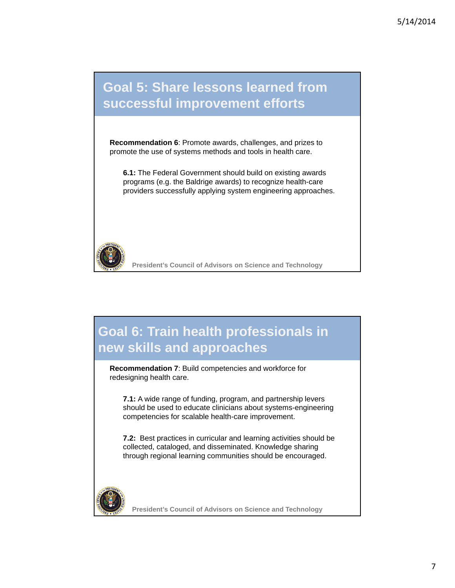### **Goal 5: Share lessons learned from successful improvement efforts**

**Recommendation 6**: Promote awards, challenges, and prizes to promote the use of systems methods and tools in health care.

**6.1:** The Federal Government should build on existing awards programs (e.g. the Baldrige awards) to recognize health-care providers successfully applying system engineering approaches.



**President's Council of Advisors on Science and Technology**

# **Goal 6: Train health professionals in new skills and approaches**

**Recommendation 7**: Build competencies and workforce for redesigning health care.

**7.1:** A wide range of funding, program, and partnership levers should be used to educate clinicians about systems-engineering competencies for scalable health-care improvement.

**7.2:** Best practices in curricular and learning activities should be collected, cataloged, and disseminated. Knowledge sharing through regional learning communities should be encouraged.

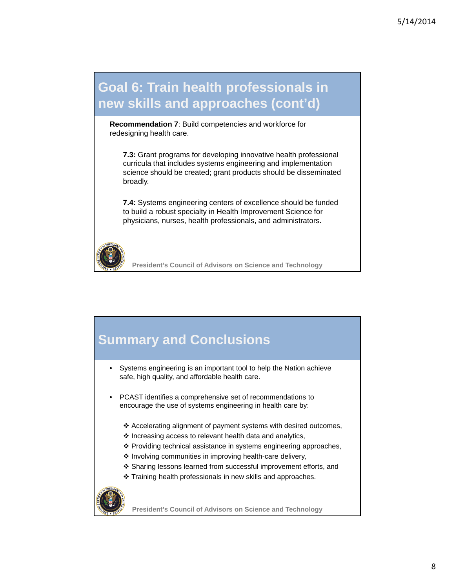# **Goal 6: Train health professionals in new skills and approaches (cont'd)**

**Recommendation 7**: Build competencies and workforce for redesigning health care.

**7.3:** Grant programs for developing innovative health professional curricula that includes systems engineering and implementation science should be created; grant products should be disseminated broadly.

**7.4:** Systems engineering centers of excellence should be funded to build a robust specialty in Health Improvement Science for physicians, nurses, health professionals, and administrators.



**President's Council of Advisors on Science and Technology**

# **Summary and Conclusions**

- Systems engineering is an important tool to help the Nation achieve safe, high quality, and affordable health care.
- PCAST identifies a comprehensive set of recommendations to encourage the use of systems engineering in health care by:
	- Accelerating alignment of payment systems with desired outcomes,
	- $\cdot$  Increasing access to relevant health data and analytics,
	- ❖ Providing technical assistance in systems engineering approaches,
	- \* Involving communities in improving health-care delivery,
	- Sharing lessons learned from successful improvement efforts, and
	- Training health professionals in new skills and approaches.